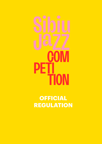# IN  $\blacksquare$ PE **ON**

**OFFICIAL REGULATION**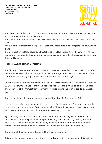

The Organizers of the Sibiu Jazz Competition are Creative Concept Association in partnership with The Sibiu Student Cultural Centre.

The Competition was founded in 1979 as a part of Sibiu Jazz Festival, but now it is a stand alone event.

The aim of the Competition is to promote jazz, new improvised music projects and young musicians.

The Competition will take place 29-31 October at Talia Hall – Sibiu State Philharmonic. All the concerts will be open to the public and live broadcasted on our official website and also on You-Tube and Facebook.

# **I. APPLYING FOR THE COMPETITION**

The Sibiu Jazz Competition is open to all young musicians, regardless of nationality, born after November 1st, 1988, who are younger than 33 or at the age of 33 years old. The line-up of the bands must have a majority of musicians who respect the specified age limit.

All materials related to the participation in the Sibiu Jazz Competition will be sent until Monday, 20 September 2021. Failure to meet this deadline will entail the elimination of the candidate. The Organizer of the Competition reserves the right to extend the term of sending an Application.

The results of the selection will be published on Thursday, 21st September 2021.

If no reply is received within the deadline or in case of resignation, the Organizer reserves the right to choose the candidates from the reserve list. The participants are obliged to provide a valid reason of resignation (e.g. doctor`s certificate) after 15.10.2021.

By submitting the application, the musicians accept the present regulation and declare their readiness to participate in the competition at any time specified by the Organizer (29- 31.10.2021). The Organizer specifies the date, time and the order of the competition performance. The participant must be free from any obligations during the competition.

The winner of the main prize of former editions cannot compete.

This year, the competition may be entered by bands consisting of a maximum of 5 musicians. 1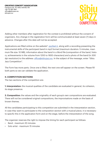

Adding other members after registration for the contest is prohibited without the consent of organizers. Any change in the registration form will be communicated at least seven (7) days in advance. Changes after this date will not be accepted.

Applications are filled online on the website<sup>\*</sup>: jazzfeel.it, along with a recording presenting the instrumental skills of the participant band in mp3 format (maximum duration: 5 minutes, maximum file size: 10 MB), information about the band in a Word file (composition of the band, history, achievements in the volume from 1200 to 1600 characters) and a photo of the band (in 300 dpi resolution) to the address: office@sibiujazz.eu. In the subject of the message, enter "Sibiu Jazz Competition".

The Form has more parts. Once one is filled, the next one will appear on the screen. Please fill both parts so we can validate the application.

# **II. COMPETITION SECTIONS**

The two sections of the competition are:

**1. Interpretation:** the musical qualities of the candidate are evaluated in general, its cohesion, its stage presence.

**2. Composition:** the values and the originality of each group's own compositions are evaluated. There will not be considered original compositions, the improvisations made on the basis of known themes.

All the candidates participating to this competition are submitted in the interpretation section, in case they want to participate to the composition section with a musical piece, it is necessary to specify this in the application form and on the stage, before the interpretation of the song.

The organizer reserves the right to impose the timing for each participant as follows:

- Band maximum 20 minutes
- Solo artist maximum 15 minutes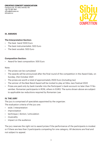

## **III. AWARDS**

## **The Interpretation Section:**

- The best band 1000 Euro
- The best instrumentalist: 500 Euro
- The best vocalist: 500 Euro

#### **Composition Section:**

• Award for best composition: 500 Euro

#### Note:

- The prizes can be cumulated
- The awards will be announced after the final round of the competition in the Award Gala, on Sunday, 31st October 2021
- The prizes are worth a total of approximately 2500 Euro (including tax)
- The winner of the Best Band Award will be invited to play at Sibiu Jazz Festival 2022
- Prizes are paid only by bank transfer into the Participant`s bank account no later than 11 November. Romanian participants in RON, others in EURO. The sums shown above are subject to applicable tax reductions required by Romanian Law

## **IV. THE JURY**

The jury is comprised of specialists appointed by the organizer.

The evaluation criteria of the jury are:

- style / interpretation
- improvisation
- technique / diction / articulation
- musicality
- impact on the audience

The jury reserves the right not to award prizes if the performance of the participants is modest or if there are less than 3 participants competing for one category. All decisions are final and not subject to appeal.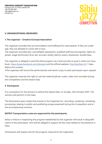

# **V. ORGANIZATIONAL MEASURES**

## **1. The organizer – Creative Concept Association**

The organizer provides free accommodation and halfboard for participants. If they are underage, they are allowed to come with a tutor.

The organizer provides also: sound/lights equipment, qualified staff (sound engineer, lights engineer, stage technician) drum set, acoustic and/or electric piano, keyboards, double bass.

The organizer is obliged to send the final program via e-mail and also to post it online (on Facebook: https://www.facebook.com/sibiujazz and the official website: http://jazzfeel.it/), 7 days before the contest.

vThe organizer will record the performances and send a copy to each participant upon request.

The organizer reserves the right to use the material (photo, audio, video etc) recorded during the Competition and the Award Gala.

# **2. Participants**

It is compulsory for the winners to attend the Award Gala, on Sunday, 31st October 2021. The winners will perform in the Gala.

The Participants give royalty-free license to the Organizer for: recording, rendering, marketing, processing, playing in public and publishing songs presented during the Competition and at the accompanying concerts.

# **NOTE!!! Transportation costs are supported by the participants.**

Delay or failure in respecting the program established by the organizer will result in disqualification of the participant, who will be obliged to support all the costs related to his presence in Sibiu.

Participants will respect strictly the program required by the organizers.